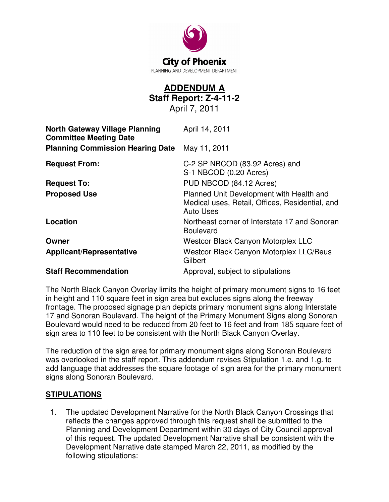

## **ADDENDUM A Staff Report: Z-4-11-2**

April 7, 2011

| <b>North Gateway Village Planning</b><br><b>Committee Meeting Date</b> | April 14, 2011                                                                                                  |
|------------------------------------------------------------------------|-----------------------------------------------------------------------------------------------------------------|
| <b>Planning Commission Hearing Date</b>                                | May 11, 2011                                                                                                    |
| <b>Request From:</b>                                                   | C-2 SP NBCOD (83.92 Acres) and<br>S-1 NBCOD (0.20 Acres)                                                        |
| <b>Request To:</b>                                                     | PUD NBCOD (84.12 Acres)                                                                                         |
| <b>Proposed Use</b>                                                    | Planned Unit Development with Health and<br>Medical uses, Retail, Offices, Residential, and<br><b>Auto Uses</b> |
| Location                                                               | Northeast corner of Interstate 17 and Sonoran<br><b>Boulevard</b>                                               |
| Owner                                                                  | <b>Westcor Black Canyon Motorplex LLC</b>                                                                       |
| <b>Applicant/Representative</b>                                        | <b>Westcor Black Canyon Motorplex LLC/Beus</b><br>Gilbert                                                       |
| <b>Staff Recommendation</b>                                            | Approval, subject to stipulations                                                                               |

The North Black Canyon Overlay limits the height of primary monument signs to 16 feet in height and 110 square feet in sign area but excludes signs along the freeway frontage. The proposed signage plan depicts primary monument signs along Interstate 17 and Sonoran Boulevard. The height of the Primary Monument Signs along Sonoran Boulevard would need to be reduced from 20 feet to 16 feet and from 185 square feet of sign area to 110 feet to be consistent with the North Black Canyon Overlay.

The reduction of the sign area for primary monument signs along Sonoran Boulevard was overlooked in the staff report. This addendum revises Stipulation 1.e. and 1.g. to add language that addresses the square footage of sign area for the primary monument signs along Sonoran Boulevard.

## **STIPULATIONS**

 1. The updated Development Narrative for the North Black Canyon Crossings that reflects the changes approved through this request shall be submitted to the Planning and Development Department within 30 days of City Council approval of this request. The updated Development Narrative shall be consistent with the Development Narrative date stamped March 22, 2011, as modified by the following stipulations: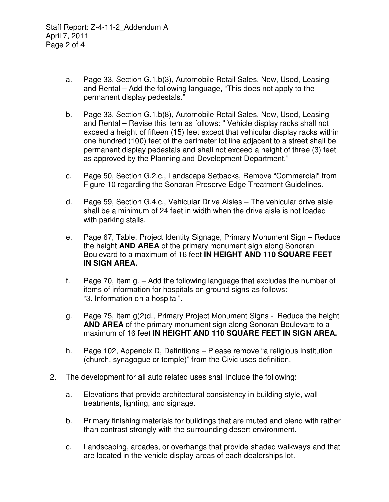- a. Page 33, Section G.1.b(3), Automobile Retail Sales, New, Used, Leasing and Rental – Add the following language, "This does not apply to the permanent display pedestals."
- b. Page 33, Section G.1.b(8), Automobile Retail Sales, New, Used, Leasing and Rental – Revise this item as follows: " Vehicle display racks shall not exceed a height of fifteen (15) feet except that vehicular display racks within one hundred (100) feet of the perimeter lot line adjacent to a street shall be permanent display pedestals and shall not exceed a height of three (3) feet as approved by the Planning and Development Department."
- c. Page 50, Section G.2.c., Landscape Setbacks, Remove "Commercial" from Figure 10 regarding the Sonoran Preserve Edge Treatment Guidelines.
- d. Page 59, Section G.4.c., Vehicular Drive Aisles The vehicular drive aisle shall be a minimum of 24 feet in width when the drive aisle is not loaded with parking stalls.
- e. Page 67, Table, Project Identity Signage, Primary Monument Sign Reduce the height **AND AREA** of the primary monument sign along Sonoran Boulevard to a maximum of 16 feet **IN HEIGHT AND 110 SQUARE FEET IN SIGN AREA.**
- f. Page 70, Item g. Add the following language that excludes the number of items of information for hospitals on ground signs as follows: "3. Information on a hospital".
- g. Page 75, Item g(2)d., Primary Project Monument Signs Reduce the height **AND AREA** of the primary monument sign along Sonoran Boulevard to a maximum of 16 feet **IN HEIGHT AND 110 SQUARE FEET IN SIGN AREA.**
- h. Page 102, Appendix D, Definitions Please remove "a religious institution (church, synagogue or temple)" from the Civic uses definition.
- 2. The development for all auto related uses shall include the following:
	- a. Elevations that provide architectural consistency in building style, wall treatments, lighting, and signage.
	- b. Primary finishing materials for buildings that are muted and blend with rather than contrast strongly with the surrounding desert environment.
	- c. Landscaping, arcades, or overhangs that provide shaded walkways and that are located in the vehicle display areas of each dealerships lot.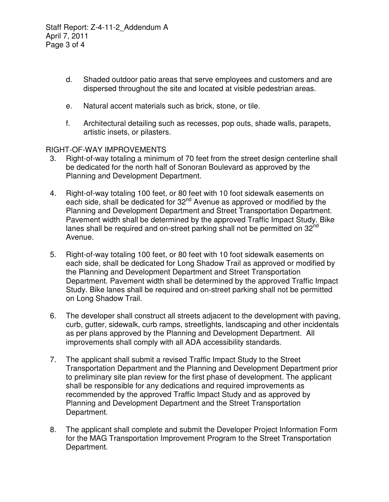- d. Shaded outdoor patio areas that serve employees and customers and are dispersed throughout the site and located at visible pedestrian areas.
- e. Natural accent materials such as brick, stone, or tile.
- f. Architectural detailing such as recesses, pop outs, shade walls, parapets, artistic insets, or pilasters.

RIGHT-OF-WAY IMPROVEMENTS

- 3. Right-of-way totaling a minimum of 70 feet from the street design centerline shall be dedicated for the north half of Sonoran Boulevard as approved by the Planning and Development Department.
- 4. Right-of-way totaling 100 feet, or 80 feet with 10 foot sidewalk easements on each side, shall be dedicated for 32<sup>nd</sup> Avenue as approved or modified by the Planning and Development Department and Street Transportation Department. Pavement width shall be determined by the approved Traffic Impact Study. Bike lanes shall be required and on-street parking shall not be permitted on  $32^{\text{nd}}$ Avenue.
- 5. Right-of-way totaling 100 feet, or 80 feet with 10 foot sidewalk easements on each side, shall be dedicated for Long Shadow Trail as approved or modified by the Planning and Development Department and Street Transportation Department. Pavement width shall be determined by the approved Traffic Impact Study. Bike lanes shall be required and on-street parking shall not be permitted on Long Shadow Trail.
- 6. The developer shall construct all streets adjacent to the development with paving, curb, gutter, sidewalk, curb ramps, streetlights, landscaping and other incidentals as per plans approved by the Planning and Development Department. All improvements shall comply with all ADA accessibility standards.
- 7. The applicant shall submit a revised Traffic Impact Study to the Street Transportation Department and the Planning and Development Department prior to preliminary site plan review for the first phase of development. The applicant shall be responsible for any dedications and required improvements as recommended by the approved Traffic Impact Study and as approved by Planning and Development Department and the Street Transportation Department.
- 8. The applicant shall complete and submit the Developer Project Information Form for the MAG Transportation Improvement Program to the Street Transportation Department.